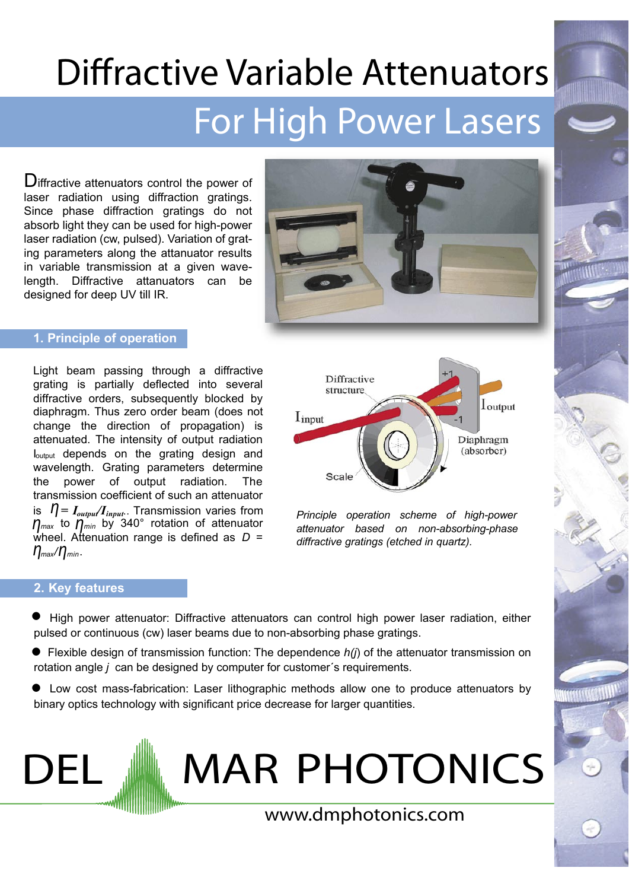# **Diffractive Variable Attenuators** For High Power Lasers

Diffractive attenuators control the power of laser radiation using diffraction gratings. Since phase diffraction gratings do not absorb light they can be used for high-power laser radiation (cw. pulsed). Variation of grating parameters along the attanuator results in variable transmission at a given wavelength. Diffractive attanuators can be designed for deep UV till IR.



# 1. Principle of operation

Light beam passing through a diffractive grating is partially deflected into several diffractive orders, subsequently blocked by diaphragm. Thus zero order beam (does not change the direction of propagation) is attenuated. The intensity of output radiation loutout depends on the grating design and wavelength. Grating parameters determine the power of output radiation. **The** transmission coefficient of such an attenuator is  $\eta = I_{output}/I_{input}$ . Transmission varies from<br> $\eta_{max}$  to  $\eta_{min}$  by 340° rotation of attenuator wheel. Attenuation range is defined as  $D =$  $\eta_{\text{max}}/\eta_{\text{min}}$ .



Principle operation scheme of high-power attenuator based on non-absorbing-phase diffractive gratings (etched in quartz).

# 2. Key features

DEL

- High power attenuator: Diffractive attenuators can control high power laser radiation, either pulsed or continuous (cw) laser beams due to non-absorbing phase gratings.
- $\bullet$  Flexible design of transmission function: The dependence  $h(j)$  of the attenuator transmission on rotation angle *i* can be designed by computer for customer's requirements.
- Low cost mass-fabrication: Laser lithographic methods allow one to produce attenuators by binary optics technology with significant price decrease for larger quantities.

**MAR PHOTONICS** 

www.dmphotonics.com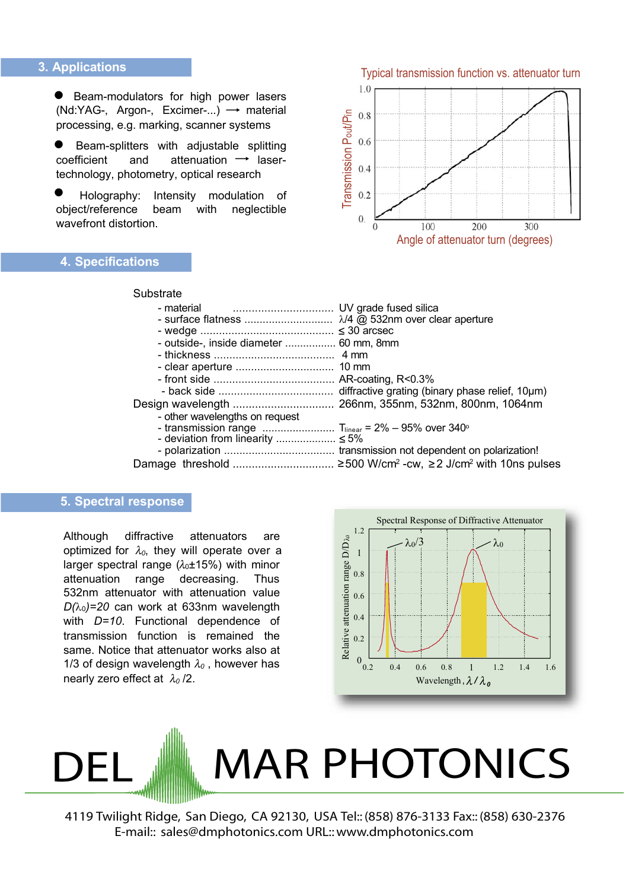### 3. Applications

Beam-modulators for high power lasers  $\bullet$ (Nd:YAG-, Argon-, Excimer-...)  $\rightarrow$  material processing, e.g. marking, scanner systems

Beam-splitters with adjustable splitting and attenuation  $\rightarrow$  lasercoefficient technology, photometry, optical research

Holography: Intensity modulation of beam with object/reference neglectible wavefront distortion.

Substrate

# **4. Specifications**



| - outside-, inside diameter  60 mm, 8mm |  |
|-----------------------------------------|--|
|                                         |  |
|                                         |  |
|                                         |  |
|                                         |  |
|                                         |  |
| - other wavelengths on request          |  |
|                                         |  |
| - deviation from linearity $\leq 5\%$   |  |
|                                         |  |
|                                         |  |

#### 5. Spectral response

Although diffractive attenuators are optimized for  $\lambda_0$ , they will operate over a larger spectral range  $(\lambda_0 \pm 15\%)$  with minor attenuation range decreasing. Thus 532nm attenuator with attenuation value  $D(\lambda_0)$ =20 can work at 633nm wavelength with  $D=10$ . Functional dependence of transmission function is remained the same. Notice that attenuator works also at 1/3 of design wavelength  $\lambda_0$ , however has nearly zero effect at  $\lambda_0/2$ .



# **MAR PHOTONICS**

4119 Twilight Ridge, San Diego, CA 92130, USA Tel:: (858) 876-3133 Fax:: (858) 630-2376 E-mail:: sales@dmphotonics.com URL:: www.dmphotonics.com